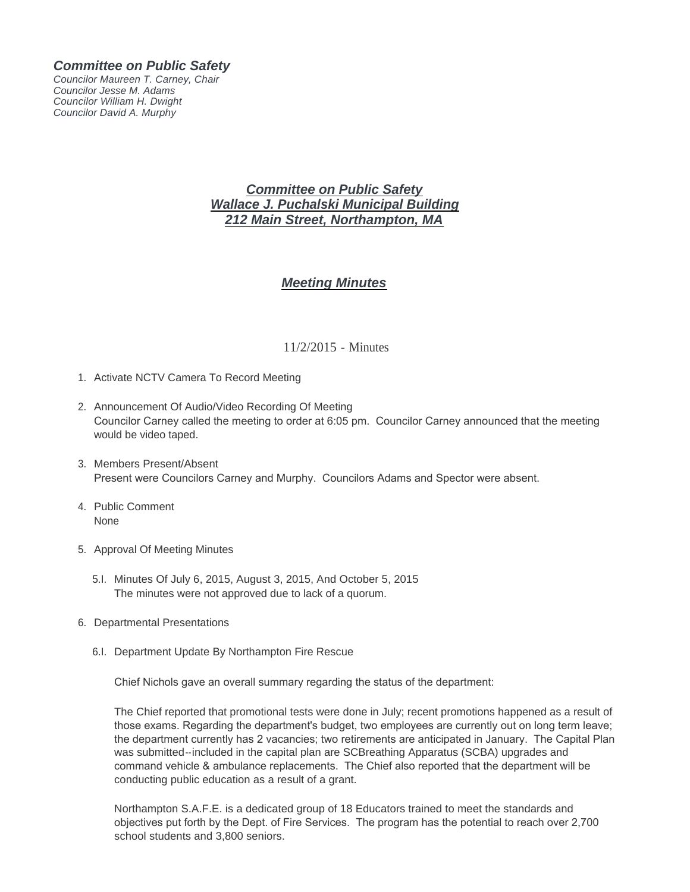## *Committee on Public Safety*

*Councilor Maureen T. Carney, Chair Councilor Jesse M. Adams Councilor William H. Dwight Councilor David A. Murphy*

## *Committee on Public Safety Wallace J. Puchalski Municipal Building 212 Main Street, Northampton, MA*

## *Meeting Minutes*

## 11/2/2015 - Minutes

- 1. Activate NCTV Camera To Record Meeting
- 2. Announcement Of Audio/Video Recording Of Meeting Councilor Carney called the meeting to order at 6:05 pm. Councilor Carney announced that the meeting would be video taped.
- 3. Members Present/Absent Present were Councilors Carney and Murphy. Councilors Adams and Spector were absent.
- 4. Public Comment None
- 5. Approval Of Meeting Minutes
	- Minutes Of July 6, 2015, August 3, 2015, And October 5, 2015 5.I. The minutes were not approved due to lack of a quorum.
- 6. Departmental Presentations
	- 6.I. Department Update By Northampton Fire Rescue

Chief Nichols gave an overall summary regarding the status of the department:

The Chief reported that promotional tests were done in July; recent promotions happened as a result of those exams. Regarding the department's budget, two employees are currently out on long term leave; the department currently has 2 vacancies; two retirements are anticipated in January. The Capital Plan was submitted--included in the capital plan are SCBreathing Apparatus (SCBA) upgrades and command vehicle & ambulance replacements. The Chief also reported that the department will be conducting public education as a result of a grant.

Northampton S.A.F.E. is a dedicated group of 18 Educators trained to meet the standards and objectives put forth by the Dept. of Fire Services. The program has the potential to reach over 2,700 school students and 3,800 seniors.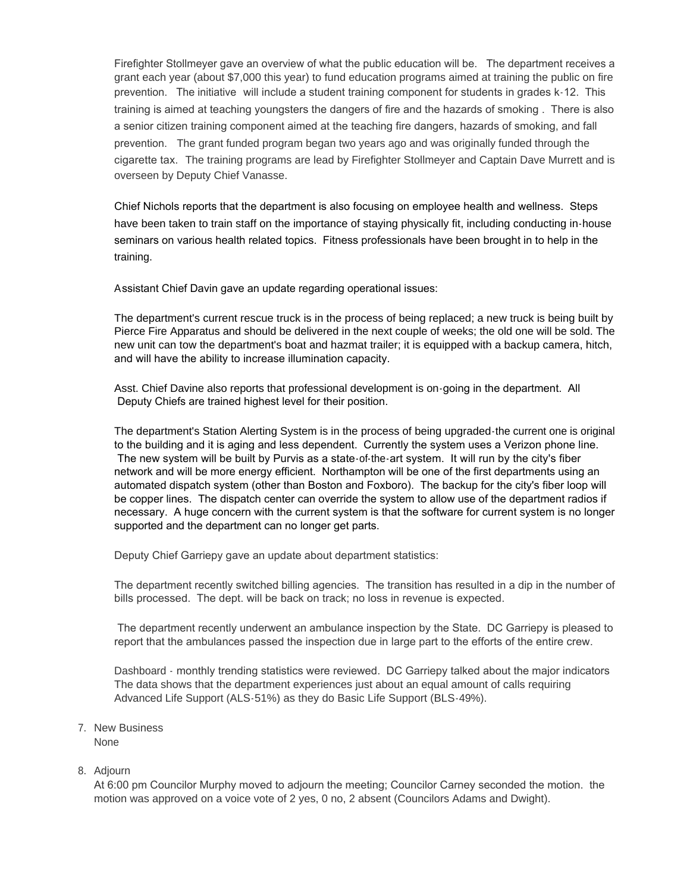Firefighter Stollmeyer gave an overview of what the public education will be. The department receives a grant each year (about \$7,000 this year) to fund education programs aimed at training the public on fire prevention. The initiative will include a student training component for students in grades k-12. This training is aimed at teaching youngsters the dangers of fire and the hazards of smoking . There is also a senior citizen training component aimed at the teaching fire dangers, hazards of smoking, and fall prevention. The grant funded program began two years ago and was originally funded through the cigarette tax. The training programs are lead by Firefighter Stollmeyer and Captain Dave Murrett and is overseen by Deputy Chief Vanasse.

Chief Nichols reports that the department is also focusing on employee health and wellness. Steps have been taken to train staff on the importance of staying physically fit, including conducting in-house seminars on various health related topics. Fitness professionals have been brought in to help in the training.

Assistant Chief Davin gave an update regarding operational issues:

The department's current rescue truck is in the process of being replaced; a new truck is being built by Pierce Fire Apparatus and should be delivered in the next couple of weeks; the old one will be sold. The new unit can tow the department's boat and hazmat trailer; it is equipped with a backup camera, hitch, and will have the ability to increase illumination capacity.

Asst. Chief Davine also reports that professional development is on-going in the department. All Deputy Chiefs are trained highest level for their position.

The department's Station Alerting System is in the process of being upgraded-the current one is original to the building and it is aging and less dependent. Currently the system uses a Verizon phone line. The new system will be built by Purvis as a state-of-the-art system. It will run by the city's fiber network and will be more energy efficient. Northampton will be one of the first departments using an automated dispatch system (other than Boston and Foxboro). The backup for the city's fiber loop will be copper lines. The dispatch center can override the system to allow use of the department radios if necessary. A huge concern with the current system is that the software for current system is no longer supported and the department can no longer get parts.

Deputy Chief Garriepy gave an update about department statistics:

The department recently switched billing agencies. The transition has resulted in a dip in the number of bills processed. The dept. will be back on track; no loss in revenue is expected.

 The department recently underwent an ambulance inspection by the State. DC Garriepy is pleased to report that the ambulances passed the inspection due in large part to the efforts of the entire crew.

Dashboard - monthly trending statistics were reviewed. DC Garriepy talked about the major indicators The data shows that the department experiences just about an equal amount of calls requiring Advanced Life Support (ALS-51%) as they do Basic Life Support (BLS-49%).

7. New Business

None

8. Adjourn

At 6:00 pm Councilor Murphy moved to adjourn the meeting; Councilor Carney seconded the motion. the motion was approved on a voice vote of 2 yes, 0 no, 2 absent (Councilors Adams and Dwight).